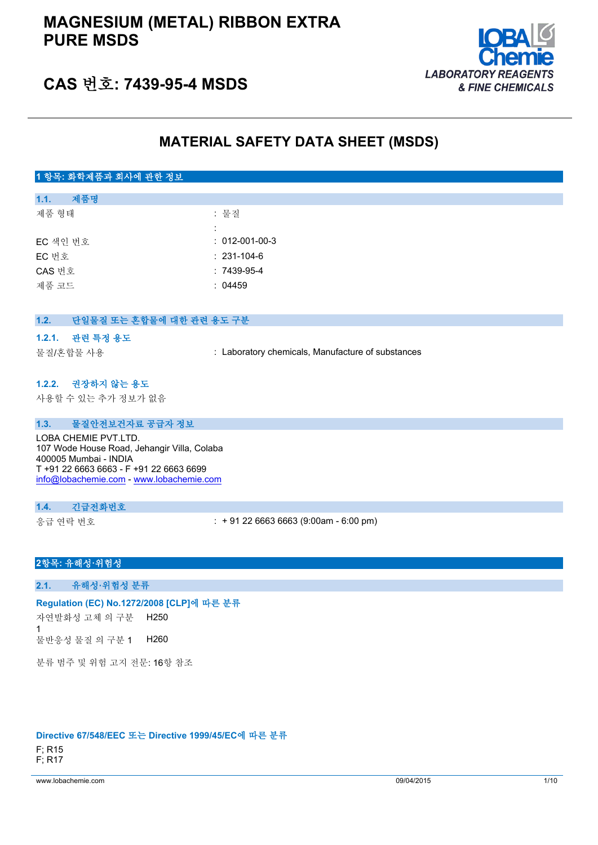# **MAGNESIUM (METAL) RIBBON EXTRA PURE MSDS**



# **CAS 번호: 7439-95-4 MSDS**

# **MATERIAL SAFETY DATA SHEET (MSDS)**

# **1 항목: 화학제품과 회사에 관한 정보**

| 1.1.     | 제품명 |                        |
|----------|-----|------------------------|
| 제품 형태    |     | : 물질                   |
|          |     |                        |
| EC 색인 번호 |     | $: 012 - 001 - 00 - 3$ |
| EC 번호    |     | $: 231 - 104 - 6$      |
| CAS 번호   |     | $:7439-95-4$           |
| 제품 코드    |     | : 04459                |
|          |     |                        |

### **1.2. 단일물질 또는 혼합물에 대한 관련 용도 구분**

#### **1.2.1. 관련 특정 용도**

물질/혼합물 사용 : Laboratory chemicals, Manufacture of substances

#### **1.2.2. 권장하지 않는 용도**

사용할 수 있는 추가 정보가 없음

### **1.3. 물질안전보건자료 공급자 정보**

LOBA CHEMIE PVT.LTD. 107 Wode House Road, Jehangir Villa, Colaba 400005 Mumbai - INDIA T +91 22 6663 6663 - F +91 22 6663 6699 [info@lobachemie.com](mailto:info@lobachemie.com) - <www.lobachemie.com>

#### **1.4. 긴급전화번호**

응급 연락 번호 : + 91 22 6663 6663 (9:00am - 6:00 pm)

# **2항목: 유해성·위험성**

#### **2.1. 유해성·위험성 분류**

#### **Regulation (EC) No.1272/2008 [CLP]에 따른 분류**

자연발화성 고체 의 구분 1 H250

물반응성 물질 의 구분 1 H260

분류 범주 및 위험 고지 전문: 16항 참조

# **Directive 67/548/EEC 또는 Directive 1999/45/EC에 따른 분류**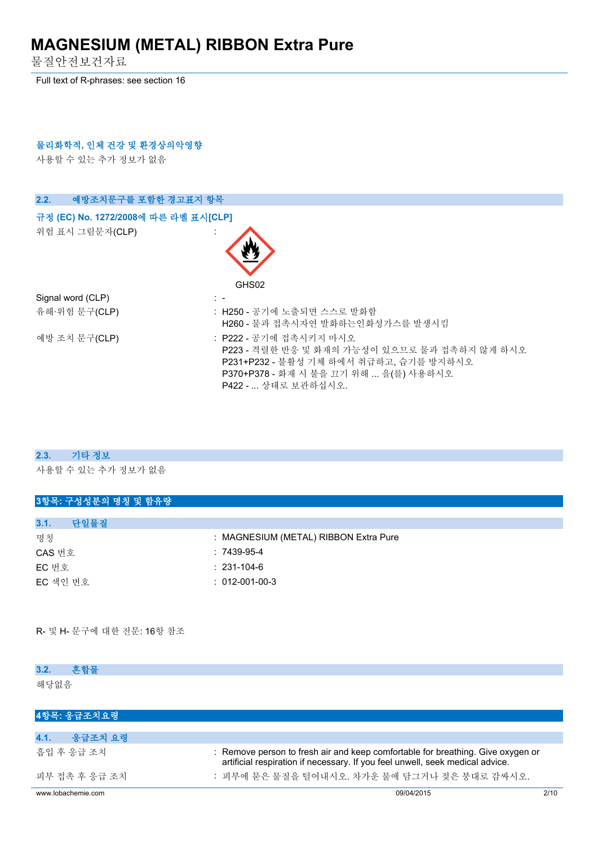물질안전보건자료

Full text of R-phrases: see section 16

## **물리화학적, 인체 건강 및 환경상의악영향**

사용할 수 있는 추가 정보가 없음

| 2.2.<br>예방조치문구를 포함한 경고표지 항목          |                                                                                                                                                                                  |
|--------------------------------------|----------------------------------------------------------------------------------------------------------------------------------------------------------------------------------|
| 규정 (EC) No. 1272/2008에 따른 라벨 표시[CLP] |                                                                                                                                                                                  |
| 위험 표시 그림문자(CLP)                      | GHS02                                                                                                                                                                            |
| Signal word (CLP)                    | $\mathbb{R}^n$                                                                                                                                                                   |
| 유해·위험 문구(CLP)                        | : H250 - 공기에 노출되면 스스로 발화함<br>H260 - 물과 접촉시자연 발화하는인화성가스를 발생시킴                                                                                                                     |
| 예방 조치 문구(CLP)                        | : P222 - 공기에 접촉시키지 마시오<br>P223 - 격렬한 반응 및 화재의 가능성이 있으므로 물과 접촉하지 않게 하시오<br>P231+P232 - 불활성 기체 하에서 취급하고, 습기를 방지하시오<br>P370+P378 - 화재 시 불을 끄기 위해  을(를) 사용하시오<br>P422 -  상태로 보관하십시오. |

#### **2.3. 기타 정보**

사용할 수 있는 추가 정보가 없음

| 3항목: 구성성분의 명칭 및 함유량 |                                       |
|---------------------|---------------------------------------|
|                     |                                       |
| 3.1.<br>단일물질        |                                       |
| 명칭                  | : MAGNESIUM (METAL) RIBBON Extra Pure |
| CAS 번호              | $:7439-95-4$                          |
| EC 번호               | $: 231 - 104 - 6$                     |
| EC 색인 번호            | $: 012 - 001 - 00 - 3$                |
|                     |                                       |
|                     |                                       |

R- 및 H- 문구에 대한 전문: 16항 참조

| 3.2.<br>후합물        |                                                                                                                                                                  |      |
|--------------------|------------------------------------------------------------------------------------------------------------------------------------------------------------------|------|
| 해당없음               |                                                                                                                                                                  |      |
| 4항목: 응급조치요령        |                                                                                                                                                                  |      |
| 4.1.<br>응급조치 요령    |                                                                                                                                                                  |      |
| 흠입 후 응급 조치         | : Remove person to fresh air and keep comfortable for breathing. Give oxygen or<br>artificial respiration if necessary. If you feel unwell, seek medical advice. |      |
| 피부 접촉 후 응급 조치      | : 피부에 묻은 물질을 털어내시오. 차가운 물에 담그거나 젖은 붕대로 감싸시오.                                                                                                                     |      |
| www.lobachemie.com | 09/04/2015                                                                                                                                                       | 2/10 |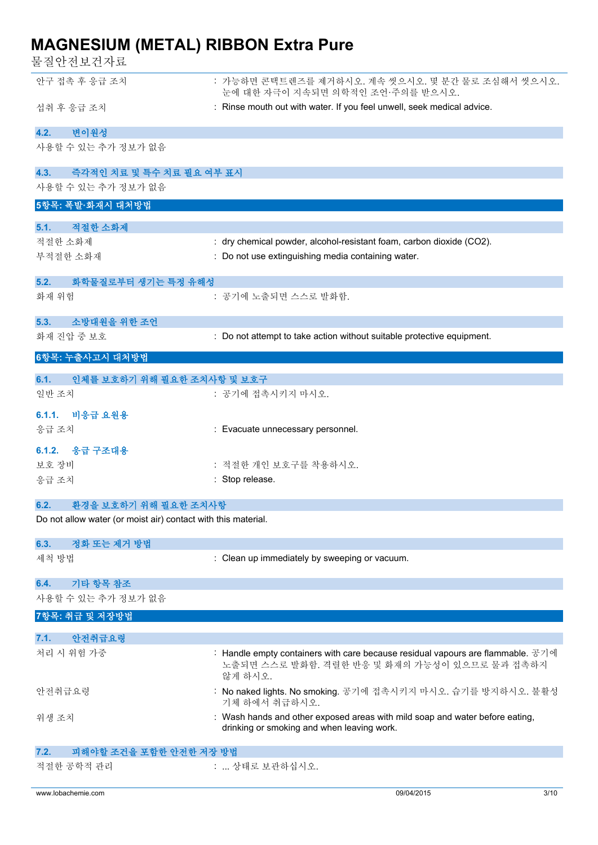물질안전보건자료

| 안구 접촉 후 응급 조치                                                 | : 가능하면 콘택트렌즈를 제거하시오. 계속 씻으시오. 몇 분간 물로 조심해서 씻으시오.<br>눈에 대한 자극이 지속되면 의학적인 조언·주의를 받으시오.                                                       |
|---------------------------------------------------------------|--------------------------------------------------------------------------------------------------------------------------------------------|
| 섭취 후 응급 조치                                                    | : Rinse mouth out with water. If you feel unwell, seek medical advice.                                                                     |
| 변이원성<br>4.2.                                                  |                                                                                                                                            |
| 사용할 수 있는 추가 정보가 없음                                            |                                                                                                                                            |
| 4.3.<br>즉각적인 치료 및 특수 치료 필요 여부 표시                              |                                                                                                                                            |
| 사용할 수 있는 추가 정보가 없음                                            |                                                                                                                                            |
| 5항목: 폭발·화재시 대처방법                                              |                                                                                                                                            |
| 적절한 소화제<br>5.1.                                               |                                                                                                                                            |
| 적절한 소화제                                                       | : dry chemical powder, alcohol-resistant foam, carbon dioxide (CO2).                                                                       |
| 부적절한 소화재                                                      | : Do not use extinguishing media containing water.                                                                                         |
| 5.2.<br>화학물질로부터 생기는 특정 유해성                                    |                                                                                                                                            |
| 화재 위험                                                         | : 공기에 노출되면 스스로 발화함.                                                                                                                        |
| 소방대원을 위한 조언<br>5.3.                                           |                                                                                                                                            |
| 화재 진압 중 보호                                                    | : Do not attempt to take action without suitable protective equipment.                                                                     |
| 6항목: 누출사고시 대처방법                                               |                                                                                                                                            |
| 인체를 보호하기 위해 필요한 조치사항 및 보호구<br>6.1.                            |                                                                                                                                            |
| 일반 조치                                                         | : 공기에 접촉시키지 마시오.                                                                                                                           |
| 6.1.1. 비응급 요원용                                                |                                                                                                                                            |
| 응급 조치                                                         | : Evacuate unnecessary personnel.                                                                                                          |
| 6.1.2. 응급 구조대용                                                |                                                                                                                                            |
| 보호 장비                                                         | : 적절한 개인 보호구를 착용하시오.                                                                                                                       |
| 응급 조치                                                         | : Stop release.                                                                                                                            |
| 6.2.<br>환경을 보호하기 위해 필요한 조치사항                                  |                                                                                                                                            |
| Do not allow water (or moist air) contact with this material. |                                                                                                                                            |
| 정화 또는 제거 방법                                                   |                                                                                                                                            |
| 6.3.<br>세척 방법                                                 | : Clean up immediately by sweeping or vacuum.                                                                                              |
|                                                               |                                                                                                                                            |
| 기타 항목 참조<br>6.4.                                              |                                                                                                                                            |
| 사용할 수 있는 추가 정보가 없음                                            |                                                                                                                                            |
| 7항목: 취급 및 저장방법                                                |                                                                                                                                            |
| 안전취급요령<br>7.1.                                                |                                                                                                                                            |
| 처리 시 위험 가중                                                    | : Handle empty containers with care because residual vapours are flammable. 공기에<br>노출되면 스스로 발화함. 격렬한 반응 및 화재의 가능성이 있으므로 물과 접촉하지<br>않게 하시오. |
| 안전취급요령                                                        | : No naked lights. No smoking. 공기에 접촉시키지 마시오. 습기를 방지하시오. 불활성<br>기체 하에서 취급하시오.                                                              |
| 위생 조치                                                         | : Wash hands and other exposed areas with mild soap and water before eating,<br>drinking or smoking and when leaving work.                 |
| 피해야할 조건을 포함한 안전한 저장 방법<br>7.2.                                |                                                                                                                                            |
| 적절한 공학적 관리                                                    | :  상태로 보관하십시오.                                                                                                                             |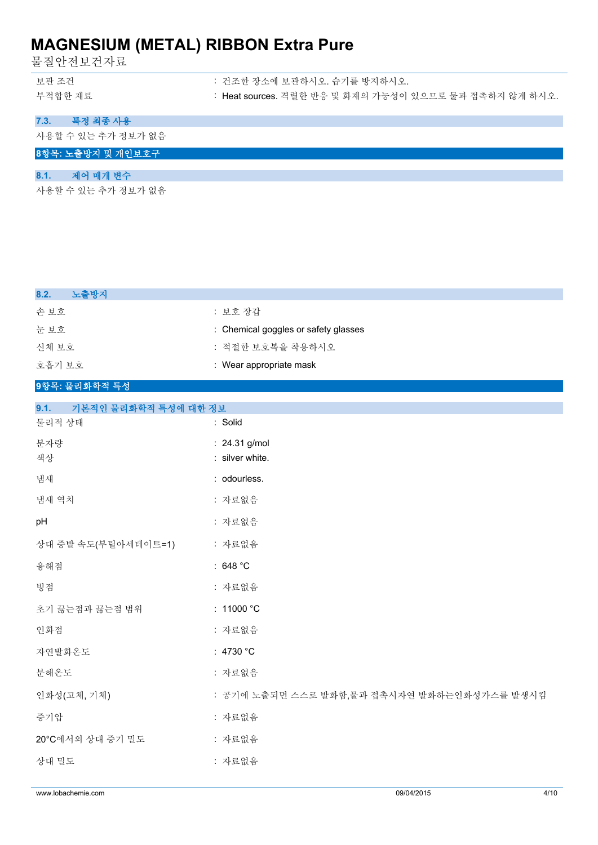물질안전보건자료

| 보관 조건   | : 건조한 장소에 보관하시오. 습기를 방지하시오.                            |
|---------|--------------------------------------------------------|
| 부적합한 재료 | : Heat sources. 격렬한 반응 및 화재의 가능성이 있으므로 물과 접촉하지 않게 하시오. |

**7.3. 특정 최종 사용**

사용할 수 있는 추가 정보가 없음

**8항목: 노출방지 및 개인보호구**

# **8.1. 제어 매개 변수**

사용할 수 있는 추가 정보가 없음

| 8.2.<br>노출방지                 |                                             |
|------------------------------|---------------------------------------------|
| 손보호                          | : 보호 장갑                                     |
| 눈보호                          | : Chemical goggles or safety glasses        |
| 신체 보호                        | : 적절한 보호복을 착용하시오                            |
| 호흡기 보호                       | : Wear appropriate mask                     |
| 9항목: 물리화학적 특성                |                                             |
| 9.1.<br>기본적인 물리화학적 특성에 대한 정보 |                                             |
| 물리적 상태                       | : Solid                                     |
| 분자량                          | : 24.31 g/mol                               |
| 색상                           | : silver white.                             |
| 냄새                           | : odourless.                                |
| 냄새 역치                        | : 자료없음                                      |
| pH                           | : 자료없음                                      |
| 상대 증발 속도(부틸아세테이트=1)          | : 자료없음                                      |
| 융해점                          | : 648 $^{\circ}$ C                          |
| 빙점                           | : 자료없음                                      |
| 초기 끓는점과 끓는점 범위               | : 11000 °C                                  |
| 인화점                          | : 자료없음                                      |
| 자연발화온도                       | : 4730 $^{\circ}$ C                         |
| 분해온도                         | : 자료없음                                      |
| 인화성(고체, 기체)                  | : 공기에 노출되면 스스로 발화함,물과 접촉시자연 발화하는인화성가스를 발생시킴 |
| 증기압                          | : 자료없음                                      |
| 20°C에서의 상대 증기 밀도             | : 자료없음                                      |
| 상대 밀도                        | : 자료없음                                      |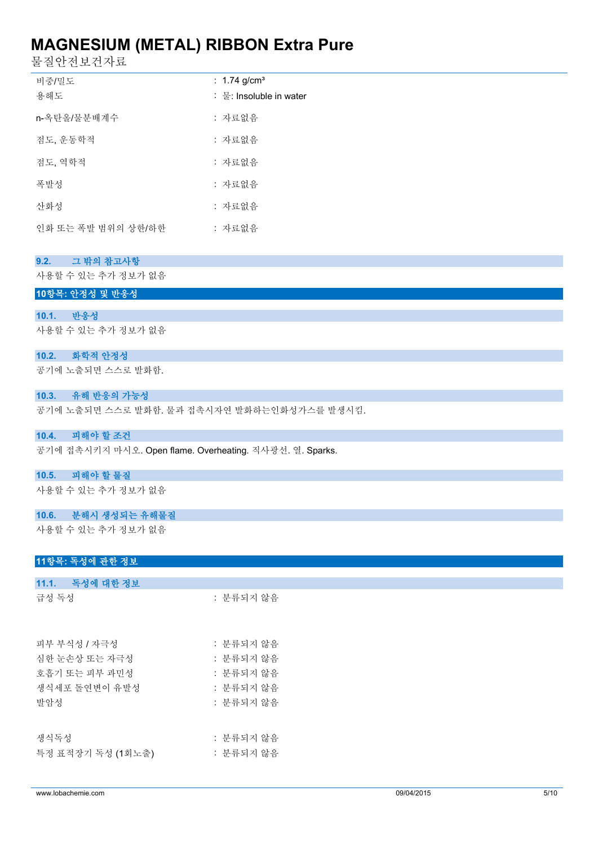물질안전보건자료

| 비중/밀도              | : 1.74 g/cm <sup>3</sup> |
|--------------------|--------------------------|
| 용해도                | : 물: Insoluble in water  |
| n-옥탄올/물분배계수        | : 자료없음                   |
| 점도, 운동학적           | : 자료없음                   |
| 점도, 역학적            | : 자료없음                   |
| 폭발성                | : 자료없음                   |
| 사화성                | : 자료없음                   |
| 인화 또는 폭발 범위의 상한/하한 | : 자료없음                   |

### **9.2. 그 밖의 참고사항**

사용할 수 있는 추가 정보가 없음

#### **10항목: 안정성 및 반응성**

#### **10.1. 반응성**

사용할 수 있는 추가 정보가 없음

#### **10.2. 화학적 안정성**

공기에 노출되면 스스로 발화함.

#### **10.3. 유해 반응의 가능성**

공기에 노출되면 스스로 발화함. 물과 접촉시자연 발화하는인화성가스를 발생시킴.

## **10.4. 피해야 할 조건**

공기에 접촉시키지 마시오. Open flame. Overheating. 직사광선. 열. Sparks.

#### **10.5. 피해야 할 물질**

사용할 수 있는 추가 정보가 없음

#### **10.6. 분해시 생성되는 유해물질**

사용할 수 있는 추가 정보가 없음

**11.1. 독성에 대한 정보**

#### **11항목: 독성에 관한 정보**

| 11.1.   녹성에 대한 정보 |           |
|-------------------|-----------|
| 급성 독성             | : 분류되지 않음 |
|                   |           |
| 피부 부식성 / 자극성      | : 분류되지 않음 |
| 심한 눈손상 또는 자극성     | : 분류되지 않음 |
| 호흡기 또는 피부 과민성     | : 분류되지 않음 |
| 생식세포 돌여변이 유발성     | : 분류되지 않음 |
| 발암성               | : 분류되지 않음 |
|                   |           |
| 생식독성              | : 분류되지 않음 |
| 특정 표적장기 독성 (1회노출) | : 분류되지 않음 |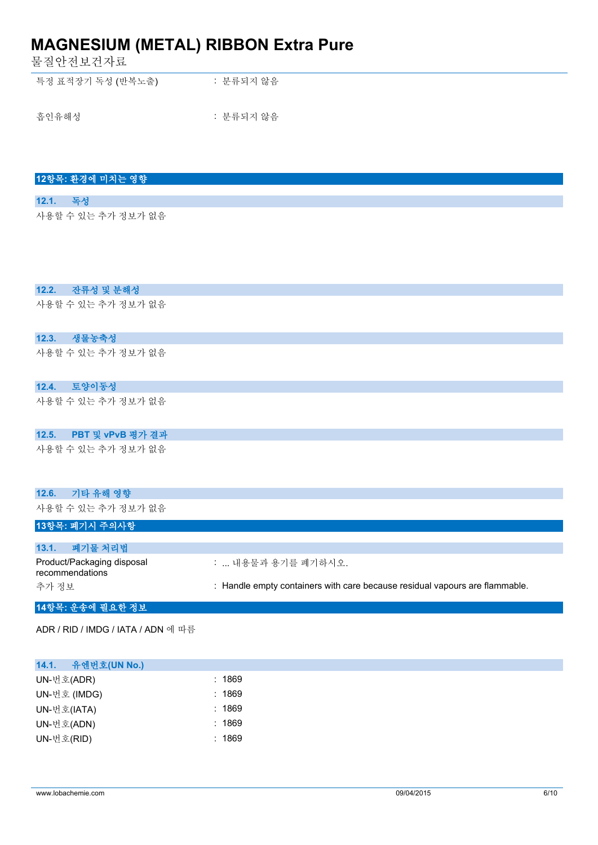물질안전보건자료

**12항목: 환경에 미치는 영향**

**12.1. 독성**

| 특정 표적장기 독성 (반복노출) | : 분류되지 않음 |
|-------------------|-----------|
| 흡인유해성             | : 분류되지 않음 |

| 사용할 수 있는 추가 정보가 없음                            |                                                                             |
|-----------------------------------------------|-----------------------------------------------------------------------------|
| 잔류성 및 분해성<br>12.2.                            |                                                                             |
| 사용할 수 있는 추가 정보가 없음                            |                                                                             |
| 생물농축성<br>12.3.                                |                                                                             |
| 사용할 수 있는 추가 정보가 없음                            |                                                                             |
| 12.4.<br>토양이동성                                |                                                                             |
| 사용할 수 있는 추가 정보가 없음                            |                                                                             |
| 12.5.<br>PBT 및 vPvB 평가 결과                     |                                                                             |
| 사용할 수 있는 추가 정보가 없음                            |                                                                             |
| 기타 유해 영향<br>12.6.                             |                                                                             |
| 사용할 수 있는 추가 정보가 없음                            |                                                                             |
| 13항목: 폐기시 주의사항                                |                                                                             |
| 폐기물 처리법<br>13.1.                              |                                                                             |
| Product/Packaging disposal<br>recommendations | :  내용물과 용기를 폐기하시오.                                                          |
| 추가 정보                                         | : Handle empty containers with care because residual vapours are flammable. |
| 14항목: 운송에 필요한 정보                              |                                                                             |

ADR / RID / IMDG / IATA / ADN 에 따름

| 유엔번호(UN No.)<br>14.1. |        |
|-----------------------|--------|
| UN-번호(ADR)            | : 1869 |
| UN-번호 (IMDG)          | : 1869 |
| UN-번호(IATA)           | : 1869 |
| UN-번호(ADN)            | : 1869 |
| UN-번호(RID)            | : 1869 |
|                       |        |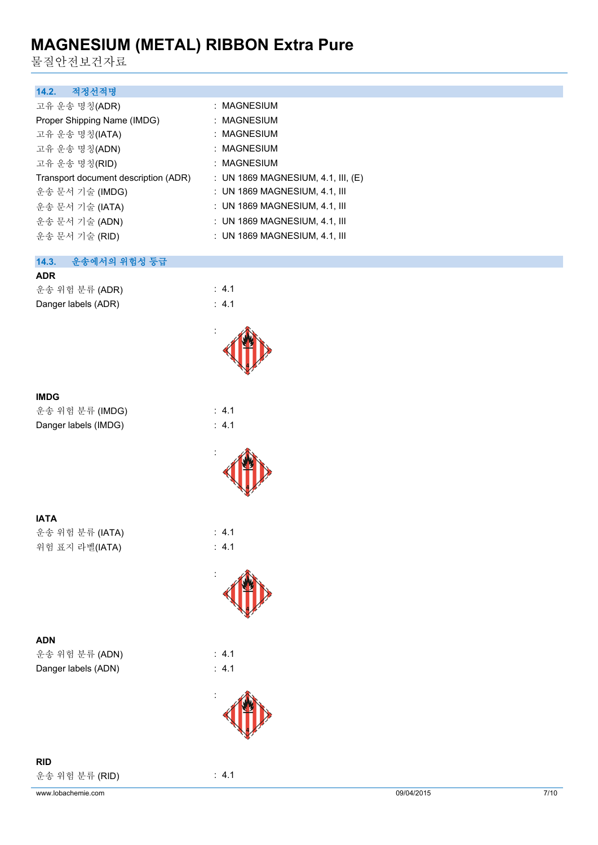물질안전보건자료

| 적정선적명<br>14.2.                       |                                      |
|--------------------------------------|--------------------------------------|
| 고유 운송 명칭(ADR)                        | : MAGNESIUM                          |
| Proper Shipping Name (IMDG)          | : MAGNESIUM                          |
| 고유 운송 명칭(IATA)                       | : MAGNESIUM                          |
| 고유 운송 명칭(ADN)                        | : MAGNESIUM                          |
| 고유 운송 명칭(RID)                        | : MAGNESIUM                          |
| Transport document description (ADR) | : UN 1869 MAGNESIUM, 4.1, III, $(E)$ |
| 운송 문서 기술 (IMDG)                      | $\pm$ UN 1869 MAGNESIUM, 4.1, III    |
| 운송 문서 기술 (IATA)                      | : UN 1869 MAGNESIUM, 4.1, III        |
| 운송 문서 기술 (ADN)                       | : UN 1869 MAGNESIUM, 4.1, III        |
| 운송 문서 기술 (RID)                       | : UN 1869 MAGNESIUM, 4.1, III        |

### **14.3. 운송에서의 위험성 등급**

| <b>ADR</b>          |                  |
|---------------------|------------------|
| 운송 위험 분류 (ADR)      | $\therefore$ 4.1 |
| Danger labels (ADR) | $\therefore$ 4.1 |



 $\div$  4.1

 $: 4.1$  $: 4.1$ 

:

:

:

:

### **IMDG**

| 운송 위험 분류 (IMDG)      |  |
|----------------------|--|
| Danger labels (IMDG) |  |

**IATA** 운송 위험 분류 (IATA) : 4.1 위험 표지 라벨(IATA) : 4.1

**ADN**

운송 위험 분류 (ADN) : 4.1 Danger labels (ADN) : 4.1

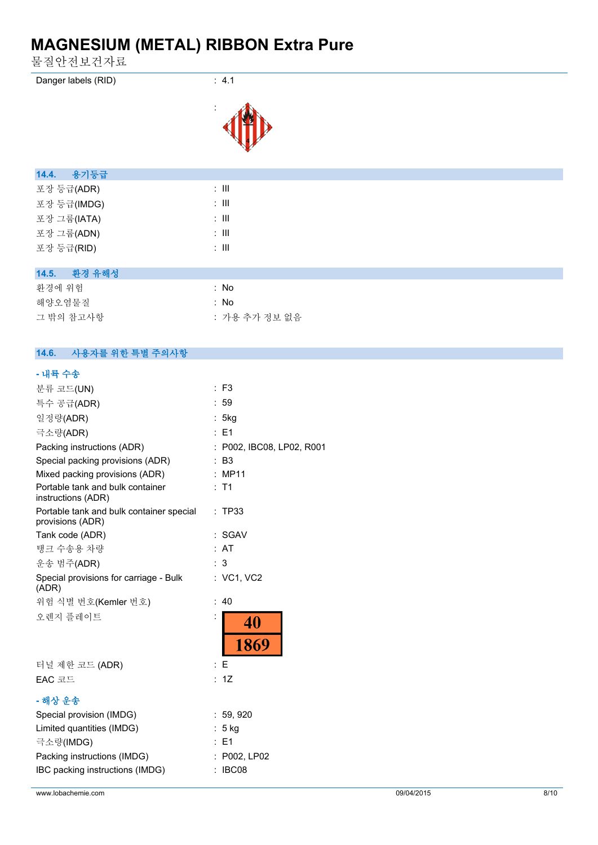물질안전보건자료

| Danger labels (RID) |  |
|---------------------|--|
|                     |  |



 $: 4.1$ 

| 용기등급<br>14.4.   |                  |
|-----------------|------------------|
| 포장 등급(ADR)      | $\therefore$ III |
| 포장 등급(IMDG)     | $\therefore$ III |
| 포장 그룹(IATA)     | $\therefore$ III |
| 포장 그룹(ADN)      | $\therefore$ III |
| 포장 등급(RID)      | ÷ III            |
|                 |                  |
| 환경 유해성<br>14.5. |                  |
| 환경에 위험          | : No             |
| 해양오염물질          | : No             |
| 그 밖의 참고사항       | : 가용 추가 정보 없음    |

#### **14.6. 사용자를 위한 특별 주의사항**

# **- 내륙 수송**

| $:$ F3                          |
|---------------------------------|
| : 59                            |
| : 5kg                           |
| $E = 1$                         |
| : P002, IBC08, LP02, R001       |
| $:$ B <sub>3</sub>              |
| : MP11                          |
| $:$ T1                          |
| : TP33                          |
| : SGAV                          |
| : AT                            |
| 3                               |
| : VC1, VC2                      |
| : 40                            |
| 40<br>1869                      |
| : E                             |
| : 1Z                            |
|                                 |
| : 59,920<br>$: 5$ kg<br>$E = 1$ |
| : P002, LP02<br>: IBC08         |
|                                 |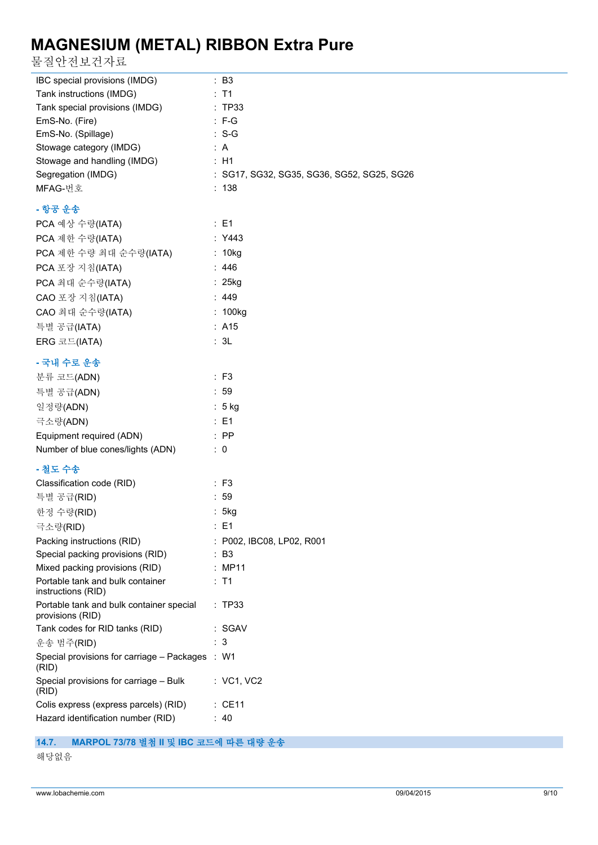물질안전보건자료

| IBC special provisions (IMDG)                                  | : B3                                       |
|----------------------------------------------------------------|--------------------------------------------|
| Tank instructions (IMDG)                                       | $:$ T1                                     |
| Tank special provisions (IMDG)                                 | : TP33                                     |
| EmS-No. (Fire)                                                 | $: F-G$                                    |
| EmS-No. (Spillage)                                             | $: S-G$                                    |
| Stowage category (IMDG)                                        | : A                                        |
| Stowage and handling (IMDG)                                    | : H1                                       |
| Segregation (IMDG)                                             | : SG17, SG32, SG35, SG36, SG52, SG25, SG26 |
| MFAG-번호                                                        | : 138                                      |
| - 항공 운송                                                        |                                            |
| PCA 예상 수량(IATA)                                                | : E1                                       |
| PCA 제한 수량(IATA)                                                | : Y443                                     |
| PCA 제한 수량 최대 순수량(IATA)                                         | : 10kg                                     |
| PCA 포장 지침(IATA)                                                | : $446$                                    |
| PCA 최대 순수량(IATA)                                               | : 25kg                                     |
| CAO 포장 지침(IATA)                                                | : 449                                      |
| CAO 최대 순수량(IATA)                                               | : 100kg                                    |
|                                                                | : A15                                      |
| 특별 공급(IATA)                                                    |                                            |
| ERG 코드(IATA)                                                   | : 3L                                       |
| - 국내 수로 운송                                                     |                                            |
| 분류 코드(ADN)                                                     | $:$ F <sub>3</sub>                         |
| 특별 공급(ADN)                                                     | : 59                                       |
| 일정량(ADN)                                                       | : 5 kg                                     |
| 극소량(ADN)                                                       | : E1                                       |
| Equipment required (ADN)                                       | $:$ PP                                     |
| Number of blue cones/lights (ADN)                              | $\therefore$ 0                             |
| - 철도 수송                                                        |                                            |
| Classification code (RID)                                      | $:$ F3                                     |
| 특별 공급(RID)                                                     | : 59                                       |
| 한정 수량(RID)                                                     | : 5kg                                      |
|                                                                | : E1                                       |
| 극소량(RID)                                                       |                                            |
| Packing instructions (RID)<br>Special packing provisions (RID) | : P002, IBC08, LP02, R001<br>: B3          |
| Mixed packing provisions (RID)                                 | : MP11                                     |
| Portable tank and bulk container                               | $:$ T1                                     |
| instructions (RID)                                             |                                            |
| Portable tank and bulk container special<br>provisions (RID)   | :TP33                                      |
| Tank codes for RID tanks (RID)                                 | : SGAV                                     |
| 운송 범주(RID)                                                     | : 3                                        |
| Special provisions for carriage - Packages<br>(RID)            | $\therefore$ W1                            |
| Special provisions for carriage - Bulk<br>(RID)                | : VC1, VC2                                 |
| Colis express (express parcels) (RID)                          | $\therefore$ CE11                          |
| Hazard identification number (RID)                             | : 40                                       |
|                                                                |                                            |

## **14.7. MARPOL 73/78 별첨 II 및 IBC 코드에 따른 대량 운송**

해당없음